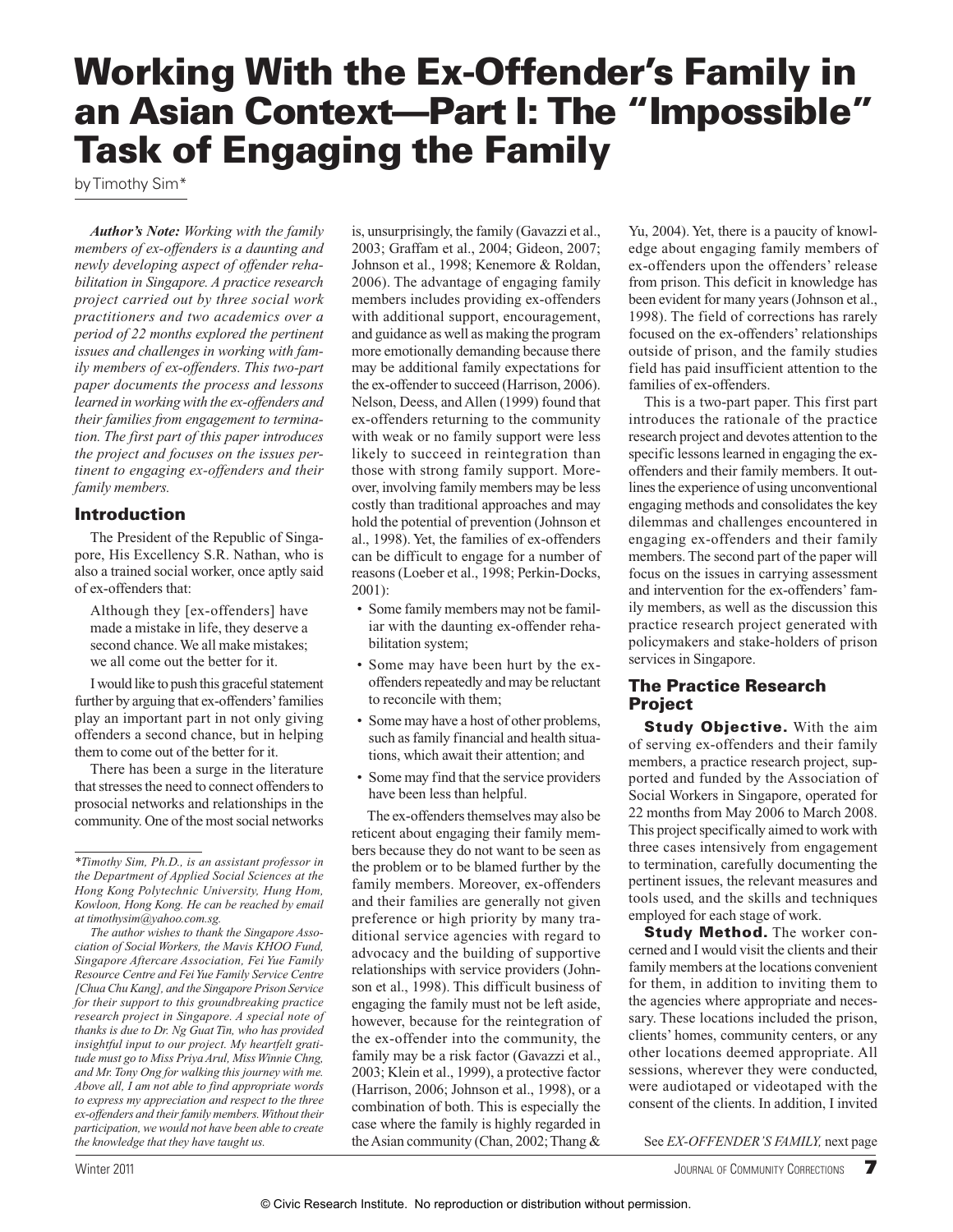# **Working With the Ex-Offender's Family in an Asian Context—Part I: The "Impossible" Task of Engaging the Family**

by Timothy Sim\*

*Author's Note: Working with the family members of ex-offenders is a daunting and newly developing aspect of offender rehabilitation in Singapore. A practice research project carried out by three social work practitioners and two academics over a period of 22 months explored the pertinent issues and challenges in working with family members of ex-offenders. This two-part paper documents the process and lessons learned in working with the ex-offenders and their families from engagement to termination. The first part of this paper introduces the project and focuses on the issues pertinent to engaging ex-offenders and their family members.*

### **Introduction**

 The President of the Republic of Singapore, His Excellency S.R. Nathan, who is also a trained social worker, once aptly said of ex-offenders that:

 Although they [ex-offenders] have made a mistake in life, they deserve a second chance. We all make mistakes; we all come out the better for it.

 I would like to push this graceful statement further by arguing that ex-offenders' families play an important part in not only giving offenders a second chance, but in helping them to come out of the better for it.

 There has been a surge in the literature that stresses the need to connect offenders to prosocial networks and relationships in the community. One of the most social networks

is, unsurprisingly, the family (Gavazzi et al., 2003; Graffam et al., 2004; Gideon, 2007; Johnson et al., 1998; Kenemore & Roldan, 2006). The advantage of engaging family members includes providing ex-offenders with additional support, encouragement, and guidance as well as making the program more emotionally demanding because there may be additional family expectations for the ex-offender to succeed (Harrison, 2006). Nelson, Deess, and Allen (1999) found that ex-offenders returning to the community with weak or no family support were less likely to succeed in reintegration than those with strong family support. Moreover, involving family members may be less costly than traditional approaches and may hold the potential of prevention (Johnson et al., 1998). Yet, the families of ex-offenders can be difficult to engage for a number of reasons (Loeber et al., 1998; Perkin-Docks, 2001):

- Some family members may not be familiar with the daunting ex-offender rehabilitation system;
- Some may have been hurt by the exoffenders repeatedly and may be reluctant to reconcile with them;
- Some may have a host of other problems, such as family financial and health situations, which await their attention; and
- Some may find that the service providers have been less than helpful.

 The ex-offenders themselves may also be reticent about engaging their family members because they do not want to be seen as the problem or to be blamed further by the family members. Moreover, ex-offenders and their families are generally not given preference or high priority by many traditional service agencies with regard to advocacy and the building of supportive relationships with service providers (Johnson et al., 1998). This difficult business of engaging the family must not be left aside, however, because for the reintegration of the ex-offender into the community, the family may be a risk factor (Gavazzi et al., 2003; Klein et al., 1999), a protective factor (Harrison, 2006; Johnson et al., 1998), or a combination of both. This is especially the case where the family is highly regarded in the Asian community (Chan, 2002; Thang &

Yu, 2004). Yet, there is a paucity of knowledge about engaging family members of ex-offenders upon the offenders' release from prison. This deficit in knowledge has been evident for many years (Johnson et al., 1998). The field of corrections has rarely focused on the ex-offenders' relationships outside of prison, and the family studies field has paid insufficient attention to the families of ex-offenders.

 This is a two-part paper. This first part introduces the rationale of the practice research project and devotes attention to the specific lessons learned in engaging the exoffenders and their family members. It outlines the experience of using unconventional engaging methods and consolidates the key dilemmas and challenges encountered in engaging ex-offenders and their family members. The second part of the paper will focus on the issues in carrying assessment and intervention for the ex-offenders' family members, as well as the discussion this practice research project generated with policymakers and stake-holders of prison services in Singapore.

## **The Practice Research Project**

**Study Objective.** With the aim of serving ex-offenders and their family members, a practice research project, supported and funded by the Association of Social Workers in Singapore, operated for 22 months from May 2006 to March 2008. This project specifically aimed to work with three cases intensively from engagement to termination, carefully documenting the pertinent issues, the relevant measures and tools used, and the skills and techniques employed for each stage of work.

**Study Method.** The worker concerned and I would visit the clients and their family members at the locations convenient for them, in addition to inviting them to the agencies where appropriate and necessary. These locations included the prison, clients' homes, community centers, or any other locations deemed appropriate. All sessions, wherever they were conducted, were audiotaped or videotaped with the consent of the clients. In addition, I invited

See *EX-OFFENDER'S FAMILY,* next page

 *<sup>\*</sup>Timothy Sim, Ph.D., is an assistant professor in the Department of Applied Social Sciences at the Hong Kong Polytechnic University, Hung Hom, Kowloon, Hong Kong. He can be reached by email at timothysim@yahoo.com.sg .* 

*The author wishes to thank the Singapore Association of Social Workers, the Mavis KHOO Fund, Singapore Aftercare Association, Fei Yue Family Resource Centre and Fei Yue Family Service Centre [Chua Chu Kang], and the Singapore Prison Service for their support to this groundbreaking practice research project in Singapore. A special note of thanks is due to Dr. Ng Guat Tin, who has provided insightful input to our project. My heartfelt gratitude must go to Miss Priya Arul, Miss Winnie Chng, and Mr. Tony Ong for walking this journey with me. Above all, I am not able to find appropriate words to express my appreciation and respect to the three ex-offenders and their family members. Without their participation, we would not have been able to create the knowledge that they have taught us.*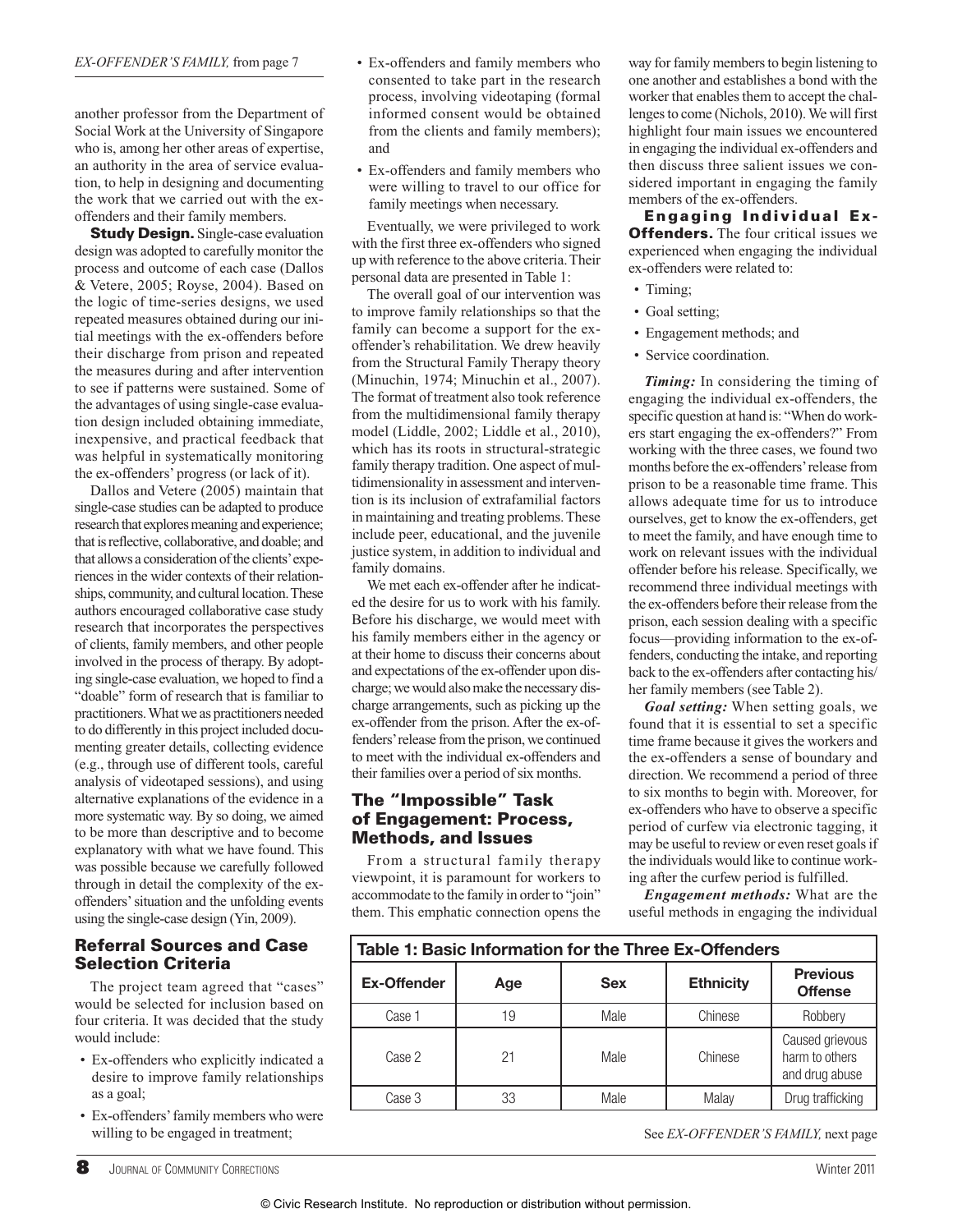another professor from the Department of Social Work at the University of Singapore who is, among her other areas of expertise, an authority in the area of service evaluation, to help in designing and documenting the work that we carried out with the exoffenders and their family members.

**Study Design.** Single-case evaluation design was adopted to carefully monitor the process and outcome of each case (Dallos & Vetere, 2005; Royse, 2004). Based on the logic of time-series designs, we used repeated measures obtained during our initial meetings with the ex-offenders before their discharge from prison and repeated the measures during and after intervention to see if patterns were sustained. Some of the advantages of using single-case evaluation design included obtaining immediate, inexpensive, and practical feedback that was helpful in systematically monitoring the ex-offenders' progress (or lack of it).

 Dallos and Vetere (2005) maintain that single-case studies can be adapted to produce research that explores meaning and experience; that is reflective, collaborative, and doable; and that allows a consideration of the clients' experiences in the wider contexts of their relationships, community, and cultural location. These authors encouraged collaborative case study research that incorporates the perspectives of clients, family members, and other people involved in the process of therapy. By adopting single-case evaluation, we hoped to find a "doable" form of research that is familiar to practitioners. What we as practitioners needed to do differently in this project included documenting greater details, collecting evidence (e.g., through use of different tools, careful analysis of videotaped sessions), and using alternative explanations of the evidence in a more systematic way. By so doing, we aimed to be more than descriptive and to become explanatory with what we have found. This was possible because we carefully followed through in detail the complexity of the exoffenders' situation and the unfolding events using the single-case design (Yin, 2009).

# **Referral Sources and Case Selection Criteria**

 The project team agreed that "cases" would be selected for inclusion based on four criteria. It was decided that the study would include:

- Ex-offenders who explicitly indicated a desire to improve family relationships as a goal;
- Ex-offenders' family members who were willing to be engaged in treatment;
- Ex-offenders and family members who consented to take part in the research process, involving videotaping (formal informed consent would be obtained from the clients and family members); and
- Ex-offenders and family members who were willing to travel to our office for family meetings when necessary.

 Eventually, we were privileged to work with the first three ex-offenders who signed up with reference to the above criteria. Their personal data are presented in Table 1:

 The overall goal of our intervention was to improve family relationships so that the family can become a support for the exoffender's rehabilitation. We drew heavily from the Structural Family Therapy theory (Minuchin, 1974; Minuchin et al., 2007). The format of treatment also took reference from the multidimensional family therapy model (Liddle, 2002; Liddle et al., 2010), which has its roots in structural-strategic family therapy tradition. One aspect of multidimensionality in assessment and intervention is its inclusion of extrafamilial factors in maintaining and treating problems. These include peer, educational, and the juvenile justice system, in addition to individual and family domains.

 We met each ex-offender after he indicated the desire for us to work with his family. Before his discharge, we would meet with his family members either in the agency or at their home to discuss their concerns about and expectations of the ex-offender upon discharge; we would also make the necessary discharge arrangements, such as picking up the ex-offender from the prison. After the ex-offenders' release from the prison, we continued to meet with the individual ex-offenders and their families over a period of six months.

## **The "Impossible" Task of Engagement: Process, Methods, and Issues**

 From a structural family therapy viewpoint, it is paramount for workers to accommodate to the family in order to "join" them. This emphatic connection opens the way for family members to begin listening to one another and establishes a bond with the worker that enables them to accept the challenges to come (Nichols, 2010). We will first highlight four main issues we encountered in engaging the individual ex-offenders and then discuss three salient issues we considered important in engaging the family members of the ex-offenders.

**Engaging Individual Ex-Offenders.** The four critical issues we experienced when engaging the individual ex-offenders were related to:

- Timing;
- Goal setting;
- Engagement methods; and
- Service coordination.

 *Timing:* In considering the timing of engaging the individual ex-offenders, the specific question at hand is: "When do workers start engaging the ex-offenders?" From working with the three cases, we found two months before the ex-offenders' release from prison to be a reasonable time frame. This allows adequate time for us to introduce ourselves, get to know the ex-offenders, get to meet the family, and have enough time to work on relevant issues with the individual offender before his release. Specifically, we recommend three individual meetings with the ex-offenders before their release from the prison, each session dealing with a specific focus—providing information to the ex-offenders, conducting the intake, and reporting back to the ex-offenders after contacting his/ her family members (see Table 2).

 *Goal setting:* When setting goals, we found that it is essential to set a specific time frame because it gives the workers and the ex-offenders a sense of boundary and direction. We recommend a period of three to six months to begin with. Moreover, for ex-offenders who have to observe a specific period of curfew via electronic tagging, it may be useful to review or even reset goals if the individuals would like to continue working after the curfew period is fulfilled.

*Engagement methods:* What are the useful methods in engaging the individual

| Table 1: Basic Information for the Three Ex-Offenders |     |            |                  |                                                     |  |  |  |
|-------------------------------------------------------|-----|------------|------------------|-----------------------------------------------------|--|--|--|
| <b>Ex-Offender</b>                                    | Age | <b>Sex</b> | <b>Ethnicity</b> | <b>Previous</b><br><b>Offense</b>                   |  |  |  |
| Case 1                                                | 19  | Male       | Chinese          | Robbery                                             |  |  |  |
| Case 2                                                | 21  | Male       | Chinese          | Caused grievous<br>harm to others<br>and drug abuse |  |  |  |
| Case 3                                                | 33  | Male       | Malay            | Drug trafficking                                    |  |  |  |

See *EX-OFFENDER'S FAMILY,* next page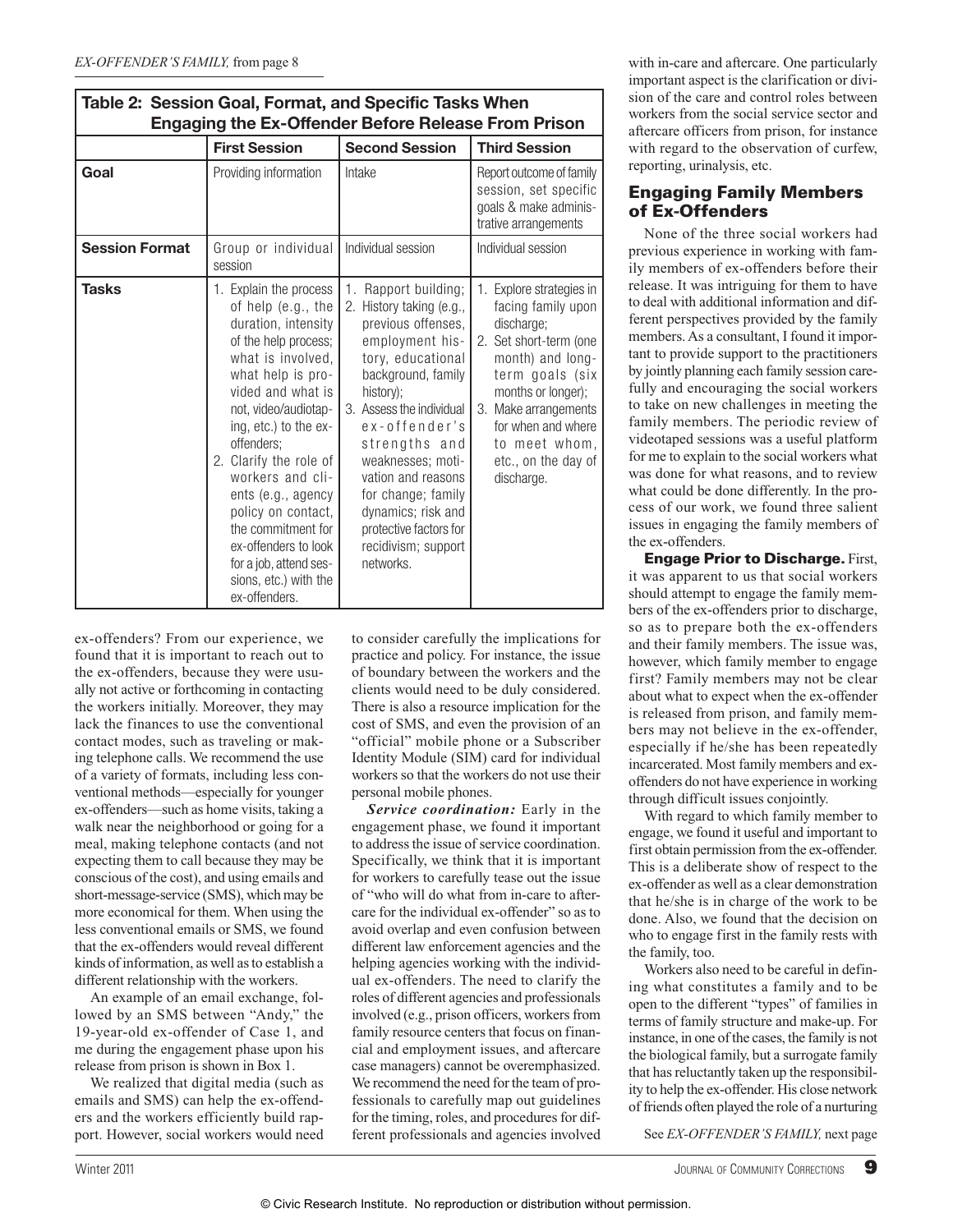| Table 2: Session Goal, Format, and Specific Tasks when<br><b>Engaging the Ex-Offender Before Release From Prison</b> |                                                                                                                                                                                                                                                                                                                                                                                                                                       |                                                                                                                                                                                                                                                                                                                                                                         |                                                                                                                                                                                                                                                         |  |  |
|----------------------------------------------------------------------------------------------------------------------|---------------------------------------------------------------------------------------------------------------------------------------------------------------------------------------------------------------------------------------------------------------------------------------------------------------------------------------------------------------------------------------------------------------------------------------|-------------------------------------------------------------------------------------------------------------------------------------------------------------------------------------------------------------------------------------------------------------------------------------------------------------------------------------------------------------------------|---------------------------------------------------------------------------------------------------------------------------------------------------------------------------------------------------------------------------------------------------------|--|--|
|                                                                                                                      | <b>First Session</b>                                                                                                                                                                                                                                                                                                                                                                                                                  | <b>Second Session</b>                                                                                                                                                                                                                                                                                                                                                   | <b>Third Session</b>                                                                                                                                                                                                                                    |  |  |
| Goal                                                                                                                 | Providing information                                                                                                                                                                                                                                                                                                                                                                                                                 | Intake                                                                                                                                                                                                                                                                                                                                                                  | Report outcome of family<br>session, set specific<br>goals & make adminis-<br>trative arrangements                                                                                                                                                      |  |  |
| <b>Session Format</b>                                                                                                | Group or individual<br>session                                                                                                                                                                                                                                                                                                                                                                                                        | Individual session                                                                                                                                                                                                                                                                                                                                                      | Individual session                                                                                                                                                                                                                                      |  |  |
| <b>Tasks</b>                                                                                                         | 1. Explain the process<br>of help (e.g., the<br>duration, intensity<br>of the help process;<br>what is involved,<br>what help is pro-<br>vided and what is<br>not, video/audiotap-<br>ing, etc.) to the ex-<br>offenders;<br>2. Clarify the role of<br>workers and cli-<br>ents (e.g., agency<br>policy on contact,<br>the commitment for<br>ex-offenders to look<br>for a job, attend ses-<br>sions, etc.) with the<br>ex-offenders. | Rapport building;<br>1.<br>2. History taking (e.g.,<br>previous offenses,<br>employment his-<br>tory, educational<br>background, family<br>history);<br>3. Assess the individual<br>ex-offender's<br>strengths and<br>weaknesses; moti-<br>vation and reasons<br>for change; family<br>dynamics; risk and<br>protective factors for<br>recidivism; support<br>networks. | 1. Explore strategies in<br>facing family upon<br>discharge;<br>2. Set short-term (one<br>month) and long-<br>term goals (six<br>months or longer);<br>3. Make arrangements<br>for when and where<br>to meet whom,<br>etc., on the day of<br>discharge. |  |  |

**Table 2: Session Goal, Format, and Specific Tasks When** 

ex-offenders? From our experience, we found that it is important to reach out to the ex-offenders, because they were usually not active or forthcoming in contacting the workers initially. Moreover, they may lack the finances to use the conventional contact modes, such as traveling or making telephone calls. We recommend the use of a variety of formats, including less conventional methods—especially for younger ex-offenders—such as home visits, taking a walk near the neighborhood or going for a meal, making telephone contacts (and not expecting them to call because they may be conscious of the cost), and using emails and short-message-service (SMS), which may be more economical for them. When using the less conventional emails or SMS, we found that the ex-offenders would reveal different kinds of information, as well as to establish a different relationship with the workers.

 An example of an email exchange, followed by an SMS between "Andy," the 19-year-old ex-offender of Case 1, and me during the engagement phase upon his release from prison is shown in Box 1.

 We realized that digital media (such as emails and SMS) can help the ex-offenders and the workers efficiently build rapport. However, social workers would need

to consider carefully the implications for practice and policy. For instance, the issue of boundary between the workers and the clients would need to be duly considered. There is also a resource implication for the cost of SMS, and even the provision of an "official" mobile phone or a Subscriber Identity Module (SIM) card for individual workers so that the workers do not use their personal mobile phones.

*Service coordination:* Early in the engagement phase, we found it important to address the issue of service coordination. Specifically, we think that it is important for workers to carefully tease out the issue of "who will do what from in-care to aftercare for the individual ex-offender" so as to avoid overlap and even confusion between different law enforcement agencies and the helping agencies working with the individual ex- offenders. The need to clarify the roles of different agencies and professionals involved (e.g., prison officers, workers from family resource centers that focus on financial and employment issues, and aftercare case managers) cannot be overemphasized. We recommend the need for the team of professionals to carefully map out guidelines for the timing, roles, and procedures for different professionals and agencies involved with in-care and aftercare. One particularly important aspect is the clarification or division of the care and control roles between workers from the social service sector and aftercare officers from prison, for instance with regard to the observation of curfew, reporting, urinalysis, etc.

# **Engaging Family Members of Ex-Offenders**

 None of the three social workers had previous experience in working with family members of ex-offenders before their release. It was intriguing for them to have to deal with additional information and different perspectives provided by the family members. As a consultant, I found it important to provide support to the practitioners by jointly planning each family session carefully and encouraging the social workers to take on new challenges in meeting the family members. The periodic review of videotaped sessions was a useful platform for me to explain to the social workers what was done for what reasons, and to review what could be done differently. In the process of our work, we found three salient issues in engaging the family members of the ex-offenders.

**Engage Prior to Discharge.** First, it was apparent to us that social workers should attempt to engage the family members of the ex-offenders prior to discharge, so as to prepare both the ex-offenders and their family members. The issue was, however, which family member to engage first? Family members may not be clear about what to expect when the ex-offender is released from prison, and family members may not believe in the ex-offender, especially if he/she has been repeatedly incarcerated. Most family members and exoffenders do not have experience in working through difficult issues conjointly.

 With regard to which family member to engage, we found it useful and important to first obtain permission from the ex-offender. This is a deliberate show of respect to the ex-offender as well as a clear demonstration that he/she is in charge of the work to be done. Also, we found that the decision on who to engage first in the family rests with the family, too.

 Workers also need to be careful in defining what constitutes a family and to be open to the different "types" of families in terms of family structure and make-up. For instance, in one of the cases, the family is not the biological family, but a surrogate family that has reluctantly taken up the responsibility to help the ex-offender. His close network of friends often played the role of a nurturing

See *EX-OFFENDER'S FAMILY,* next page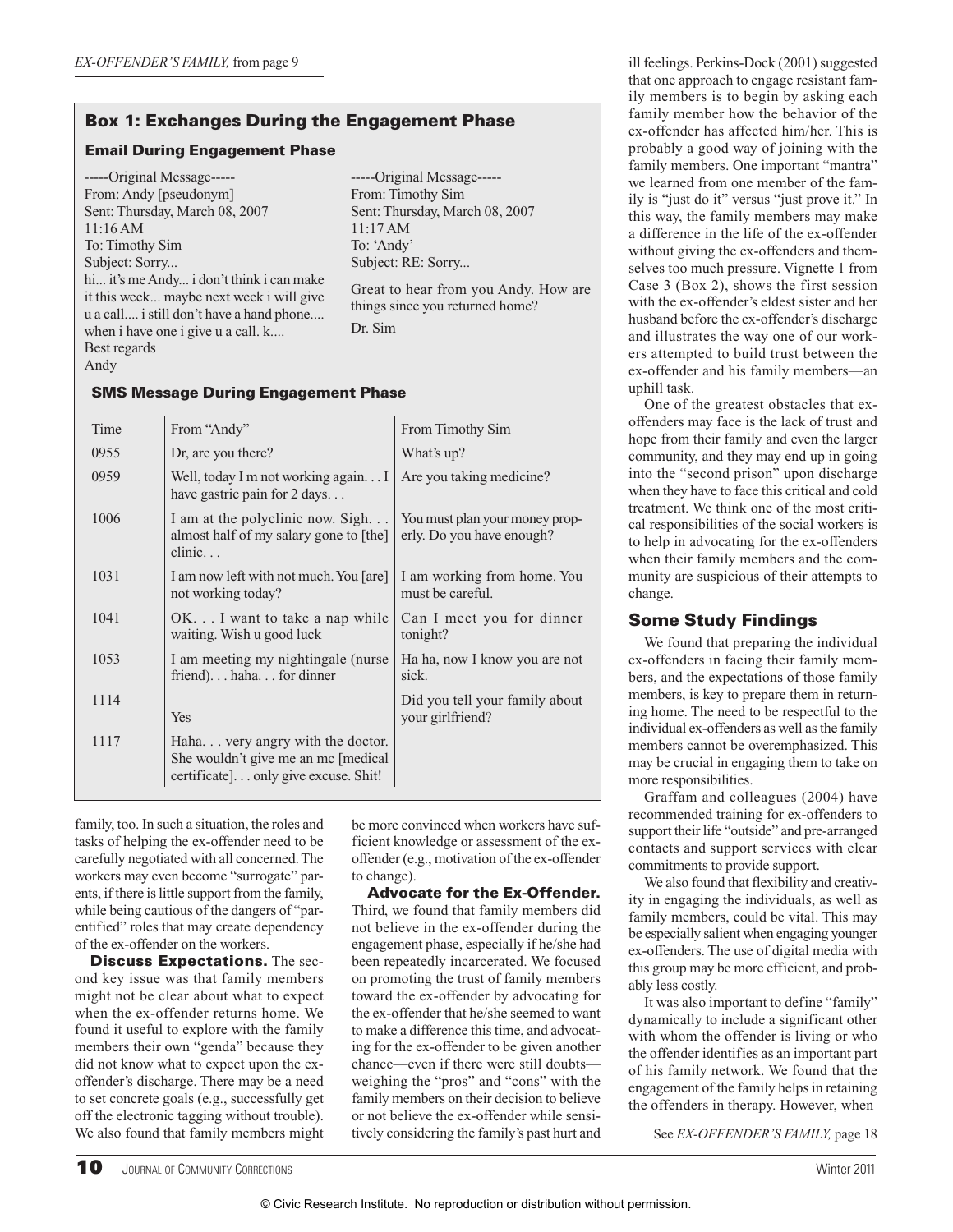# **Box 1: Exchanges During the Engagement Phase**

#### **Email During Engagement Phase**

 -----Original Message----- From: Andy [pseudonym] Sent: Thursday, March 08, 2007 11:16 AM To: Timothy Sim Subject: Sorry... hi... it's me Andy... i don't think i can make it this week... maybe next week i will give u a call.... i still don't have a hand phone.... when i have one i give u a call. k.... Best regards Andy

 -----Original Message----- From: Timothy Sim Sent: Thursday, March 08, 2007 11:17 AM To: 'Andy' Subject: RE: Sorry...

 Great to hear from you Andy. How are things since you returned home? Dr. Sim

#### **SMS Message During Engagement Phase**

| Time | From "Andy"                                                                                                      | From Timothy Sim                                            |
|------|------------------------------------------------------------------------------------------------------------------|-------------------------------------------------------------|
| 0955 | Dr, are you there?                                                                                               | What's up?                                                  |
| 0959 | Well, today I m not working again I<br>have gastric pain for 2 days                                              | Are you taking medicine?                                    |
| 1006 | I am at the polyclinic now. Sigh<br>almost half of my salary gone to [the]<br>$clinic.$ .                        | You must plan your money prop-<br>erly. Do you have enough? |
| 1031 | I am now left with not much. You [are]<br>not working today?                                                     | I am working from home. You<br>must be careful.             |
| 1041 | OK I want to take a nap while<br>waiting. Wish u good luck                                                       | Can I meet you for dinner<br>tonight?                       |
| 1053 | I am meeting my nightingale (nurse)<br>friend)hahafor dinner                                                     | Ha ha, now I know you are not<br>sick.                      |
| 1114 | Yes                                                                                                              | Did you tell your family about<br>your girlfriend?          |
| 1117 | Haha very angry with the doctor.<br>She wouldn't give me an mc [medical]<br>certificate] only give excuse. Shit! |                                                             |

family, too. In such a situation, the roles and tasks of helping the ex-offender need to be carefully negotiated with all concerned. The workers may even become "surrogate" parents, if there is little support from the family, while being cautious of the dangers of "parentified" roles that may create dependency of the ex-offender on the workers.

**Discuss Expectations.** The second key issue was that family members might not be clear about what to expect when the ex-offender returns home. We found it useful to explore with the family members their own "genda" because they did not know what to expect upon the exoffender's discharge. There may be a need to set concrete goals (e.g., successfully get off the electronic tagging without trouble). We also found that family members might

be more convinced when workers have sufficient knowledge or assessment of the exoffender (e.g., motivation of the ex-offender to change).

**Advocate for the Ex-Offender.** Third, we found that family members did not believe in the ex-offender during the engagement phase, especially if he/she had been repeatedly incarcerated. We focused on promoting the trust of family members toward the ex-offender by advocating for the ex-offender that he/she seemed to want to make a difference this time, and advocating for the ex-offender to be given another chance—even if there were still doubts weighing the "pros" and "cons" with the family members on their decision to believe or not believe the ex-offender while sensitively considering the family's past hurt and ill feelings. Perkins-Dock (2001) suggested that one approach to engage resistant family members is to begin by asking each family member how the behavior of the ex-offender has affected him/her. This is probably a good way of joining with the family members. One important "mantra" we learned from one member of the family is "just do it" versus "just prove it." In this way, the family members may make a difference in the life of the ex-offender without giving the ex-offenders and themselves too much pressure. Vignette 1 from Case 3 (Box 2), shows the first session with the ex-offender's eldest sister and her husband before the ex-offender's discharge and illustrates the way one of our workers attempted to build trust between the ex-offender and his family members—an uphill task.

 One of the greatest obstacles that exoffenders may face is the lack of trust and hope from their family and even the larger community, and they may end up in going into the "second prison" upon discharge when they have to face this critical and cold treatment. We think one of the most critical responsibilities of the social workers is to help in advocating for the ex-offenders when their family members and the community are suspicious of their attempts to change.

# **Some Study Findings**

 We found that preparing the individual ex-offenders in facing their family members, and the expectations of those family members, is key to prepare them in returning home. The need to be respectful to the individual ex-offenders as well as the family members cannot be overemphasized. This may be crucial in engaging them to take on more responsibilities.

 Graffam and colleagues (2004) have recommended training for ex-offenders to support their life "outside" and pre-arranged contacts and support services with clear commitments to provide support.

 We also found that flexibility and creativity in engaging the individuals, as well as family members, could be vital. This may be especially salient when engaging younger ex-offenders. The use of digital media with this group may be more efficient, and probably less costly.

 It was also important to define "family" dynamically to include a significant other with whom the offender is living or who the offender identifies as an important part of his family network. We found that the engagement of the family helps in retaining the offenders in therapy. However, when

See *EX-OFFENDER'S FAMILY,* page 18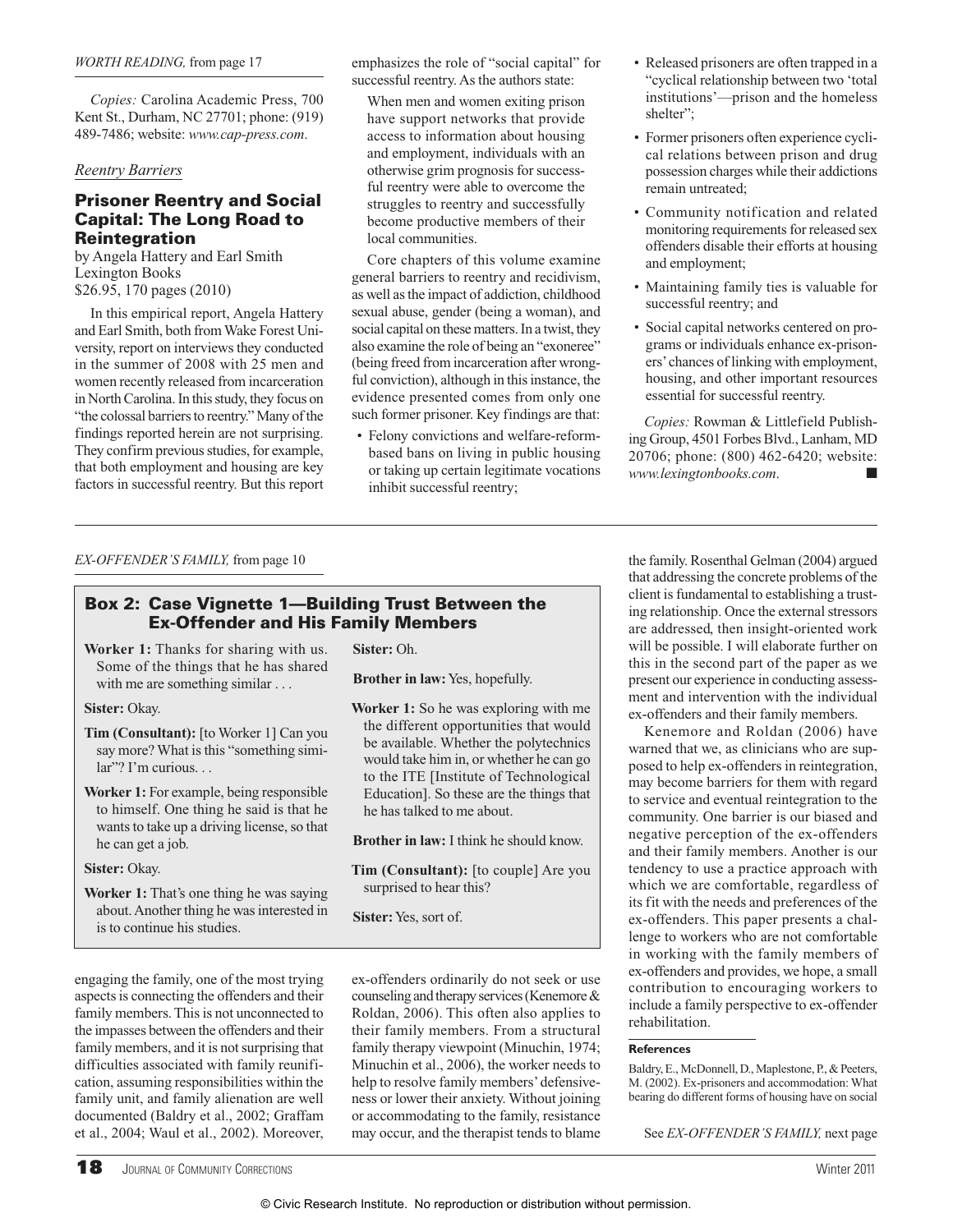# **Box 2: Case Vignette 1—Building Trust Between the Ex-Offender and His Family Members**

**Worker 1:** Thanks for sharing with us. Some of the things that he has shared with me are something similar . . .

**Sister:** Okay.

**Tim (Consultant):** [to Worker 1] Can you say more? What is this "something simi $lar''$ ? I'm curious.

**Worker 1:** For example, being responsible to himself. One thing he said is that he wants to take up a driving license, so that he can get a job.

 **Sister:** Okay.

**Worker 1:** That's one thing he was saying about. Another thing he was interested in is to continue his studies.

 **Sister:** Oh.

**Brother in law:** Yes, hopefully.

 **Worker 1:** So he was exploring with me the different opportunities that would be available. Whether the polytechnics would take him in, or whether he can go to the ITE [Institute of Technological Education]. So these are the things that he has talked to me about.

**Brother in law:** I think he should know.

**Tim (Consultant):** [to couple] Are you surprised to hear this?

**Sister:** Yes, sort of.

engaging the family, one of the most trying aspects is connecting the offenders and their family members. This is not unconnected to the impasses between the offenders and their family members, and it is not surprising that difficulties associated with family reunification, assuming responsibilities within the family unit, and family alienation are well documented (Baldry et al., 2002; Graffam et al., 2004; Waul et al., 2002). Moreover,

 ex-offenders ordinarily do not seek or use counseling and therapy services (Kenemore & Roldan, 2006). This often also applies to their family members. From a structural family therapy viewpoint (Minuchin, 1974; Minuchin et al., 2006), the worker needs to help to resolve family members' defensiveness or lower their anxiety. Without joining or accommodating to the family, resistance may occur, and the therapist tends to blame See *EX-OFFENDER'S FAMILY*, next page

*EX-OFFENDER'S FAMILY*, from page 10 the family. Rosenthal Gelman (2004) argued that addressing the concrete problems of the client is fundamental to establishing a trusting relationship. Once the external stressors are addressed, then insight-oriented work will be possible. I will elaborate further on this in the second part of the paper as we present our experience in conducting assessment and intervention with the individual ex-offenders and their family members.

> Kenemore and Roldan (2006) have warned that we, as clinicians who are supposed to help ex-offenders in reintegration, may become barriers for them with regard to service and eventual reintegration to the community. One barrier is our biased and negative perception of the ex-offenders and their family members. Another is our tendency to use a practice approach with which we are comfortable, regardless of its fit with the needs and preferences of the ex-offenders. This paper presents a challenge to workers who are not comfortable in working with the family members of ex-offenders and provides, we hope, a small contribution to encouraging workers to include a family perspective to ex-offender rehabilitation.

#### **References**

 Baldry, E., McDonnell, D., Maplestone, P., & Peeters, M. (2002). Ex-prisoners and accommodation: What bearing do different forms of housing have on social